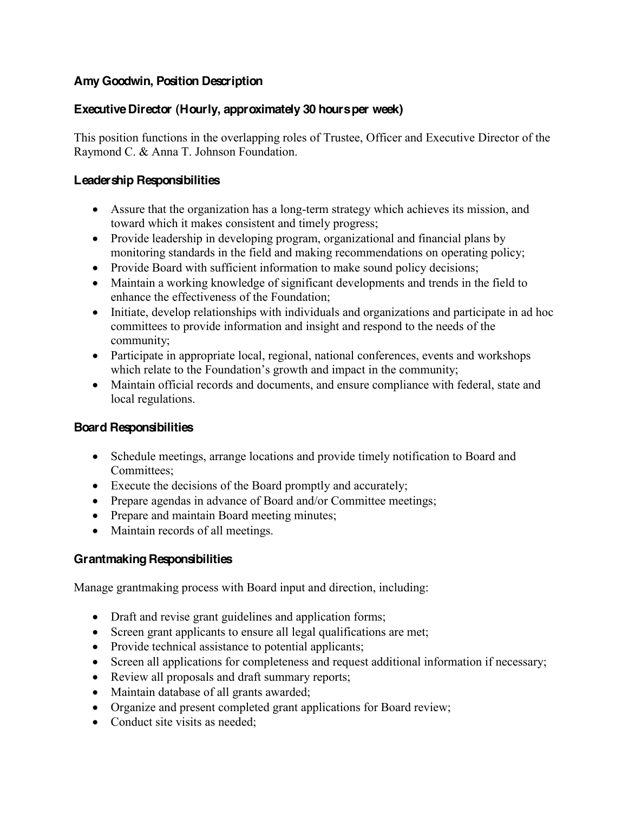# **Amy Goodwin, Position Description**

# **Executive Director (Hourly, approximately 30 hours per week)**

This position functions in the overlapping roles of Trustee, Officer and Executive Director of the Raymond C. & Anna T. Johnson Foundation.

#### **Leadership Responsibilities**

- Assure that the organization has a long-term strategy which achieves its mission, and toward which it makes consistent and timely progress;
- Provide leadership in developing program, organizational and financial plans by monitoring standards in the field and making recommendations on operating policy;
- Provide Board with sufficient information to make sound policy decisions;
- Maintain a working knowledge of significant developments and trends in the field to enhance the effectiveness of the Foundation;
- Initiate, develop relationships with individuals and organizations and participate in ad hoc committees to provide information and insight and respond to the needs of the community;
- Participate in appropriate local, regional, national conferences, events and workshops which relate to the Foundation's growth and impact in the community;
- Maintain official records and documents, and ensure compliance with federal, state and local regulations.

# **Board Responsibilities**

- Schedule meetings, arrange locations and provide timely notification to Board and Committees;
- Execute the decisions of the Board promptly and accurately;
- Prepare agendas in advance of Board and/or Committee meetings;
- Prepare and maintain Board meeting minutes;
- Maintain records of all meetings.

# **Grantmaking Responsibilities**

Manage grantmaking process with Board input and direction, including:

- Draft and revise grant guidelines and application forms;
- Screen grant applicants to ensure all legal qualifications are met;
- Provide technical assistance to potential applicants;
- Screen all applications for completeness and request additional information if necessary;
- Review all proposals and draft summary reports;
- Maintain database of all grants awarded;
- Organize and present completed grant applications for Board review;
- $\bullet$  Conduct site visits as needed;